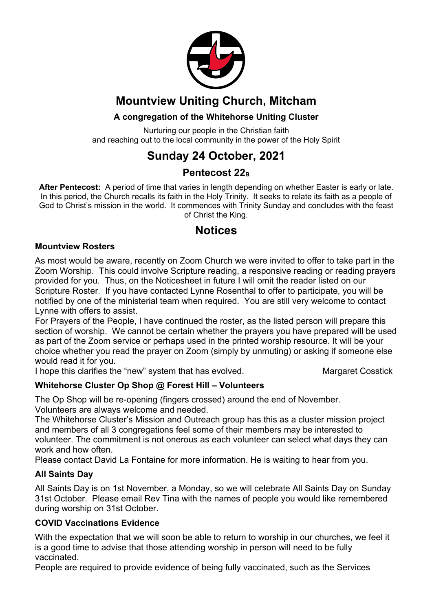

## **Mountview Uniting Church, Mitcham**

## **A congregation of the Whitehorse Uniting Cluster**

Nurturing our people in the Christian faith and reaching out to the local community in the power of the Holy Spirit

## **Sunday 24 October, 2021**

## Pentecost 22<sub>B</sub>

**After Pentecost:** A period of time that varies in length depending on whether Easter is early or late. In this period, the Church recalls its faith in the Holy Trinity. It seeks to relate its faith as a people of God to Christ's mission in the world. It commences with Trinity Sunday and concludes with the feast of Christ the King.

## **Notices**

### **Mountview Rosters**

As most would be aware, recently on Zoom Church we were invited to offer to take part in the Zoom Worship. This could involve Scripture reading, a responsive reading or reading prayers provided for you. Thus, on the Noticesheet in future I will omit the reader listed on our Scripture Roster. If you have contacted Lynne Rosenthal to offer to participate, you will be notified by one of the ministerial team when required. You are still very welcome to contact Lynne with offers to assist.

For Prayers of the People, I have continued the roster, as the listed person will prepare this section of worship. We cannot be certain whether the prayers you have prepared will be used as part of the Zoom service or perhaps used in the printed worship resource. It will be your choice whether you read the prayer on Zoom (simply by unmuting) or asking if someone else would read it for you.

I hope this clarifies the "new" system that has evolved. Margaret Cosstick

### **Whitehorse Cluster Op Shop @ Forest Hill – Volunteers**

The Op Shop will be re-opening (fingers crossed) around the end of November. Volunteers are always welcome and needed.

The Whitehorse Cluster's Mission and Outreach group has this as a cluster mission project and members of all 3 congregations feel some of their members may be interested to volunteer. The commitment is not onerous as each volunteer can select what days they can work and how often.

Please contact David La Fontaine for more information. He is waiting to hear from you.

#### **All Saints Day**

All Saints Day is on 1st November, a Monday, so we will celebrate All Saints Day on Sunday 31st October. Please email Rev Tina with the names of people you would like remembered during worship on 31st October.

#### **COVID Vaccinations Evidence**

With the expectation that we will soon be able to return to worship in our churches, we feel it is a good time to advise that those attending worship in person will need to be fully vaccinated.

People are required to provide evidence of being fully vaccinated, such as the Services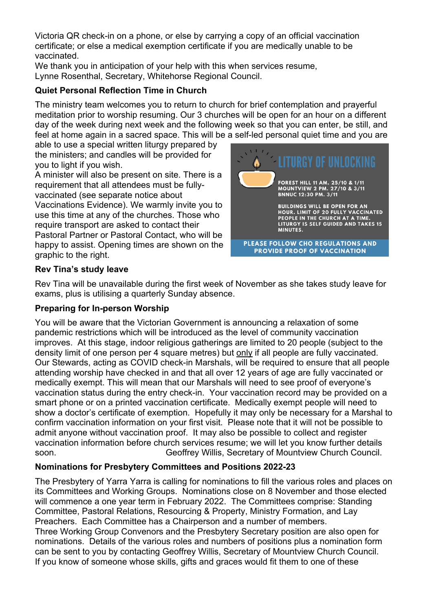Victoria QR check-in on a phone, or else by carrying a copy of an official vaccination certificate; or else a medical exemption certificate if you are medically unable to be vaccinated.

We thank you in anticipation of your help with this when services resume, Lynne Rosenthal, Secretary, Whitehorse Regional Council.

### **Quiet Personal Reflection Time in Church**

The ministry team welcomes you to return to church for brief contemplation and prayerful meditation prior to worship resuming. Our 3 churches will be open for an hour on a different day of the week during next week and the following week so that you can enter, be still, and feel at home again in a sacred space. This will be a self-led personal quiet time and you are

able to use a special written liturgy prepared by the ministers; and candles will be provided for you to light if you wish.

A minister will also be present on site. There is a requirement that all attendees must be fullyvaccinated (see separate notice about Vaccinations Evidence). We warmly invite you to use this time at any of the churches. Those who require transport are asked to contact their Pastoral Partner or Pastoral Contact, who will be

happy to assist. Opening times are shown on the graphic to the right.



### **Rev Tina's study leave**

Rev Tina will be unavailable during the first week of November as she takes study leave for exams, plus is utilising a quarterly Sunday absence.

#### **Preparing for In-person Worship**

You will be aware that the Victorian Government is announcing a relaxation of some pandemic restrictions which will be introduced as the level of community vaccination improves. At this stage, indoor religious gatherings are limited to 20 people (subject to the density limit of one person per 4 square metres) but only if all people are fully vaccinated. Our Stewards, acting as COVID check-in Marshals, will be required to ensure that all people attending worship have checked in and that all over 12 years of age are fully vaccinated or medically exempt. This will mean that our Marshals will need to see proof of everyone's vaccination status during the entry check-in. Your vaccination record may be provided on a smart phone or on a printed vaccination certificate. Medically exempt people will need to show a doctor's certificate of exemption. Hopefully it may only be necessary for a Marshal to confirm vaccination information on your first visit. Please note that it will not be possible to admit anyone without vaccination proof. It may also be possible to collect and register vaccination information before church services resume; we will let you know further details soon. Geoffrey Willis, Secretary of Mountview Church Council.

### **Nominations for Presbytery Committees and Positions 2022-23**

The Presbytery of Yarra Yarra is calling for nominations to fill the various roles and places on its Committees and Working Groups. Nominations close on 8 November and those elected will commence a one year term in February 2022. The Committees comprise: Standing Committee, Pastoral Relations, Resourcing & Property, Ministry Formation, and Lay Preachers. Each Committee has a Chairperson and a number of members. Three Working Group Convenors and the Presbytery Secretary position are also open for nominations. Details of the various roles and numbers of positions plus a nomination form can be sent to you by contacting Geoffrey Willis, Secretary of Mountview Church Council. If you know of someone whose skills, gifts and graces would fit them to one of these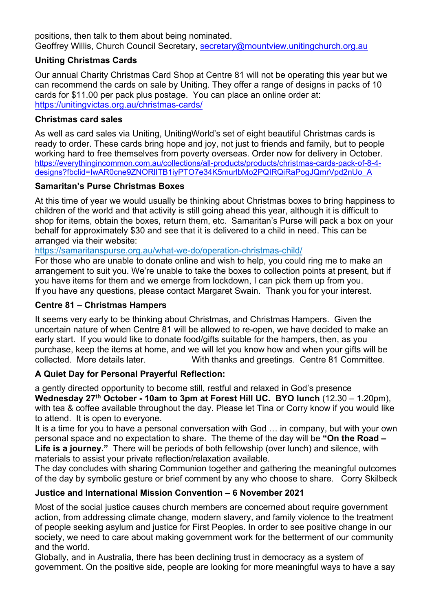positions, then talk to them about being nominated. Geoffrey Willis, Church Council Secretary, secretary@mountview.unitingchurch.org.au

#### **Uniting Christmas Cards**

Our annual Charity Christmas Card Shop at Centre 81 will not be operating this year but we can recommend the cards on sale by Uniting. They offer a range of designs in packs of 10 cards for \$11.00 per pack plus postage. You can place an online order at: https://unitingvictas.org.au/christmas-cards/

#### **Christmas card sales**

As well as card sales via Uniting, UnitingWorld's set of eight beautiful Christmas cards is ready to order. These cards bring hope and joy, not just to friends and family, but to people working hard to free themselves from poverty overseas. Order now for delivery in October. https://everythingincommon.com.au/collections/all-products/products/christmas-cards-pack-of-8-4 designs?fbclid=IwAR0cne9ZNORIITB1iyPTO7e34K5murlbMo2PQIRQiRaPogJQmrVpd2nUo\_A

#### **Samaritan's Purse Christmas Boxes**

At this time of year we would usually be thinking about Christmas boxes to bring happiness to children of the world and that activity is still going ahead this year, although it is difficult to shop for items, obtain the boxes, return them, etc. Samaritan's Purse will pack a box on your behalf for approximately \$30 and see that it is delivered to a child in need. This can be arranged via their website:

https://samaritanspurse.org.au/what-we-do/operation-christmas-child/

For those who are unable to donate online and wish to help, you could ring me to make an arrangement to suit you. We're unable to take the boxes to collection points at present, but if you have items for them and we emerge from lockdown, I can pick them up from you. If you have any questions, please contact Margaret Swain. Thank you for your interest.

#### **Centre 81 – Christmas Hampers**

It seems very early to be thinking about Christmas, and Christmas Hampers. Given the uncertain nature of when Centre 81 will be allowed to re-open, we have decided to make an early start. If you would like to donate food/gifts suitable for the hampers, then, as you purchase, keep the items at home, and we will let you know how and when your gifts will be collected. More details later. With thanks and greetings. Centre 81 Committee.

#### **A Quiet Day for Personal Prayerful Reflection:**

a gently directed opportunity to become still, restful and relaxed in God's presence **Wednesday 27th October - 10am to 3pm at Forest Hill UC. BYO lunch** (12.30 – 1.20pm), with tea & coffee available throughout the day. Please let Tina or Corry know if you would like to attend. It is open to everyone.

It is a time for you to have a personal conversation with God … in company, but with your own personal space and no expectation to share. The theme of the day will be **"On the Road –** Life is a journey." There will be periods of both fellowship (over lunch) and silence, with materials to assist your private reflection/relaxation available.

The day concludes with sharing Communion together and gathering the meaningful outcomes of the day by symbolic gesture or brief comment by any who choose to share. Corry Skilbeck

#### **Justice and International Mission Convention – 6 November 2021**

Most of the social justice causes church members are concerned about require government action, from addressing climate change, modern slavery, and family violence to the treatment of people seeking asylum and justice for First Peoples. In order to see positive change in our society, we need to care about making government work for the betterment of our community and the world.

Globally, and in Australia, there has been declining trust in democracy as a system of government. On the positive side, people are looking for more meaningful ways to have a say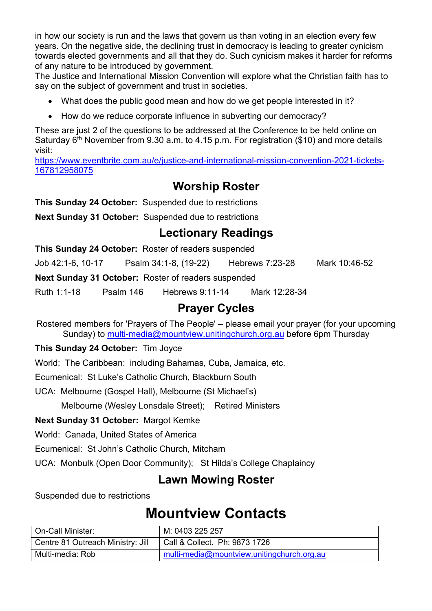in how our society is run and the laws that govern us than voting in an election every few years. On the negative side, the declining trust in democracy is leading to greater cynicism towards elected governments and all that they do. Such cynicism makes it harder for reforms of any nature to be introduced by government.

The Justice and International Mission Convention will explore what the Christian faith has to say on the subject of government and trust in societies.

- What does the public good mean and how do we get people interested in it?
- How do we reduce corporate influence in subverting our democracy?

These are just 2 of the questions to be addressed at the Conference to be held online on Saturday  $6<sup>th</sup>$  November from 9.30 a.m. to 4.15 p.m. For registration (\$10) and more details visit:

https://www.eventbrite.com.au/e/justice-and-international-mission-convention-2021-tickets-167812958075

## **Worship Roster**

**This Sunday 24 October:** Suspended due to restrictions

**Next Sunday 31 October:** Suspended due to restrictions

## **Lectionary Readings**

|                   |           | This Sunday 24 October: Roster of readers suspended        |                 |               |
|-------------------|-----------|------------------------------------------------------------|-----------------|---------------|
| Job 42:1-6, 10-17 |           | Psalm 34:1-8, (19-22)                                      | Hebrews 7:23-28 | Mark 10:46-52 |
|                   |           | <b>Next Sunday 31 October:</b> Roster of readers suspended |                 |               |
| Ruth 1:1-18       | Psalm 146 | Hebrews 9:11-14                                            | Mark 12:28-34   |               |

## **Prayer Cycles**

Rostered members for 'Prayers of The People' – please email your prayer (for your upcoming Sunday) to multi-media@mountview.unitingchurch.org.au before 6pm Thursday

### **This Sunday 24 October:** Tim Joyce

World: The Caribbean: including Bahamas, Cuba, Jamaica, etc.

Ecumenical: St Luke's Catholic Church, Blackburn South

UCA: Melbourne (Gospel Hall), Melbourne (St Michael's)

Melbourne (Wesley Lonsdale Street); Retired Ministers

### **Next Sunday 31 October:** Margot Kemke

World: Canada, United States of America

Ecumenical: St John's Catholic Church, Mitcham

UCA: Monbulk (Open Door Community); St Hilda's College Chaplaincy

## **Lawn Mowing Roster**

Suspended due to restrictions

# **Mountview Contacts**

| <b>On-Call Minister:</b>          | M: 0403 225 257                              |
|-----------------------------------|----------------------------------------------|
| Centre 81 Outreach Ministry: Jill | Call & Collect. Ph: 9873 1726                |
| Multi-media: Rob                  | I multi-media@mountview.unitingchurch.org.au |